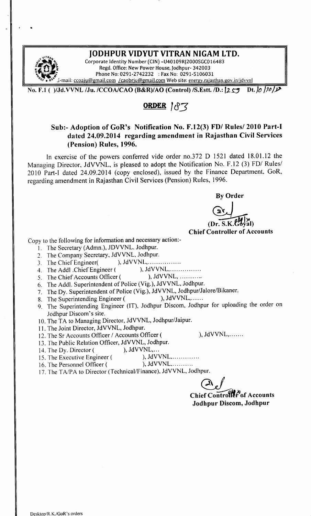

•

### JODHPUR VIDYUT VITRAN NIGAM LTD.

Corporate Identity Number (CIN) -U40109RJ2000SGC016483 Regd. Office: New Power House, Jodhpur- 342003 Phone No: 0291-2742232 : Fax No: 0291-5106031 -mail: ccoaju@gmail.com /caobrju@gmail.com Web site: energy.rajasthan.gov.in/jdvvnl

No. F.1 ( )/Jd. VVNL /Ju. /CCOA/CAO (B&R)/AO (Control) /S. Estt. */D*.: 12.59 Dt. 10 10 12

## ORDER 183

#### Sub:- Adoption of GoR's Notification No. F.12(3) FD/ Rules/ 2010 Part-I dated 24.09.2014 regarding amendment in Rajasthan Civil Services (Pension) Rules, 1996.

In exercise of the powers conferred vide order no.372 D 1521 dated 18.01.12 the Managing Director, JdVVNL, is pleased to adopt the Notification No. F.12 (3) FD/ Rules/ 2010 Part-I dated 24.09.2014 (copy enclosed), issued by the Finance Department, GoR, regarding amendment in Rajasthan Civil Services (Pension) Rules, 1996.

By Order

 $(Dr, S, K, G)$ 

Chief Controller of Accounts

Copy to the following for information and necessary action:-

- I. The Secretary (Admn.), JDVVNL. Jodhpur.
- 2. The Company Secretary, JdVVNL, Jodhpur.
- 3. The Chief Engineer( ), JdVVNL, ... ... ... ........
- 4. The Add) .Chief Engineer ( ), JdVVNL, .
- 5. The Chief Accounts Officer ( ), JdVVNL, ...........
- 6. The Addl. Superintendent of Police (Vig.), JdVVNL, Jodhpur.
- 7. The Dy. Superintendent of Police (Vig.), JdVVNL, Jodhpur/Jalore/Bikaner.
- 8. The Superintending Engineer ( ), JdVVNL,......
- 9. The Superintending Engineer (IT), Jodhpur Discom, Jodhpur for uploading the order on Jodhpur Discom's site.
- 10. The TA to Managing Director, JdVVNL, Jodhpur/Jaipur.
- 11. The Joint Director, JdVVNL, Jodhpur.
- 12. The Sr Accounts Officer / Accounts Officer ( ), JdVVNL,.......
- 13. The Public Relation Officer, JdVVNL, Jodhpur.<br>14. The Dy. Director ( ), JdVVNL....
- 
- 14. The Dy. Director (
(b), JdVVNL,...<br>
15 The Executive Engineer (
b. JdVVNL,............. 15. The Executive Engineer (
- 16. The Personnel Officer ( ), JdVVNL...........
- 17. The *TAlPA* to Director (Technical/Finance), JdVVNL, Jodhpur.

*@J*

Chief Controller of Accounts Jodhpur Discom, Jodhpur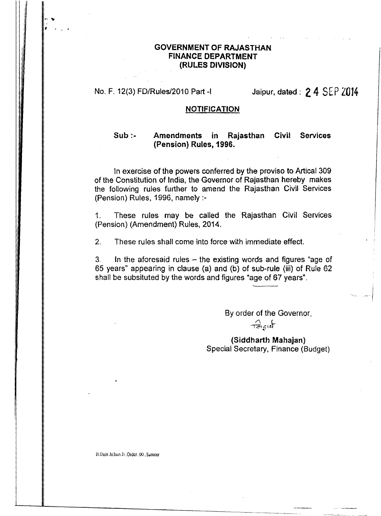#### **GOVERNMENT OF RAJASTHAN FINANCE DEPARTMENT** (RULES DIVISION)

Jaipur, dated: 2 4 SEP 2014 No. F. 12(3) FD/Rules/2010 Part-I

#### **NOTIFICATION**

#### $Sub:$ Amendments in **Services** Rajasthan Civil (Pension) Rules, 1996.

In exercise of the powers conferred by the proviso to Artical 309 of the Constitution of India, the Governor of Rajasthan hereby makes the following rules further to amend the Rajasthan Civil Services (Pension) Rules, 1996, namely :-

These rules may be called the Rajasthan Civil Services  $1<sub>1</sub>$ (Pension) (Amendment) Rules, 2014.

These rules shall come into force with immediate effect.  $2<sub>1</sub>$ 

In the aforesaid rules  $-$  the existing words and figures "age of  $3<sub>1</sub>$ 65 years" appearing in clause (a) and (b) of sub-rule (iii) of Rule 62 shall be subsituted by the words and figures "age of 67 years".

> By order of the Governor,  $\widehat{\tau}$

(Siddharth Mahajan) Special Secretary, Finance (Budget)

H:/Jain Ji/Jain Ji., Order., 00., Sameer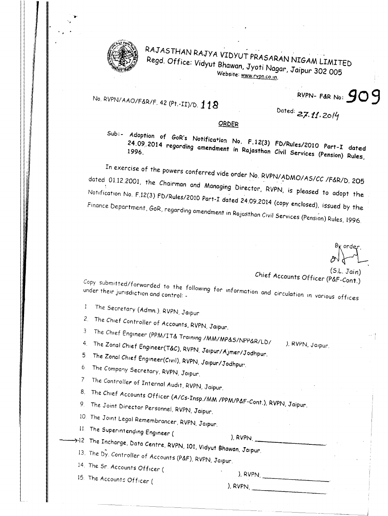

!,

. ,

# RAJASTHAN RAJYA VIDYUT PRASARAN NIGAM LIMITED Regd. Office: Vidyut Shawan, Jyoti *Nagar, Jaipur 302005* Website: www.rvpn.co.in.

# No. RVPN/AAO/F&R/F. 42 (Pt.-II)/D. 118

RVPN- F&R No: 909

Dated: **2.7.** *fl. 2o/~*

#### ORDER

 $24.09$ ,  $2014$  regarding ones in  $\mu$  No. F. 12(3) FD/Rules/2010 Part T date 1996. .09. 2014 rule amendment in Rajasthan Civil Services (Pension) Rules.

In exercise of the powers conferred vide order No. RVPN/ADMO/AS/CC /F&R/D. 205 dated 01.12.2001, the Chairman and Managing Director, RVPN, is pleased to adopt the Notification No. F.12(3) FD/Rules/2010 Part-I dated 24.09.2014 (copy enclosed), issued by the Finance Department, GoR, regarding amendment in Rajasthan Civil Services (Pension) Rules, 1996.

(S.l. Jain) Chief Accounts Officer (P&F-Cont.)

), RVPN, Jalpur.

 $C$ opy submitted/forwarded to the following for information and circulation in various offices

The Secretary (Admn.), RVPN, Jaipur.  $\mathbf{1}$ 

2. The Chief Controller of Accounts, RVPN, Jaipur.

3 The Chief Engineer *(PPMIIT&* Training *IMMIMP&S/NPP&R/LDI*

4. The Zonal Chief Engineer(T&C), RVPN, Jaipur/Ajmer/Jodhpur.

The Zonal Chief Engineer(Civil), RVPN, Jaipur/Jodhpur.

6. The Company Secretary, RVPN, Jaipur.

7 The Controller of Internal Audit, RVPN, Jaipur.

8. The Chief Accounts Officer (A/Cs-Insp./MM /PPM/P&F-Cont.), RVPN, Jaipur.

9. The Joint Director Personnel, RVPN, Jaipur.

20 The JOint Legal Remembrancer, RVPN, Jalpur.

11. The Superintending Engineer (

),  $RVPIN$ ,

 $\rightarrow$  12 The Incharge, Data Centre, RVPN, 101, Vidyut Bhawan, Jaipur.

13. The Dy Controller of Accounts *(P&F),* RVPN, Jalpur.

14. The Sr. Accounts Officer (

15. The Accounts Officer (

), RVPN, \_ ), RVPN,  $\overline{\phantom{a}}$